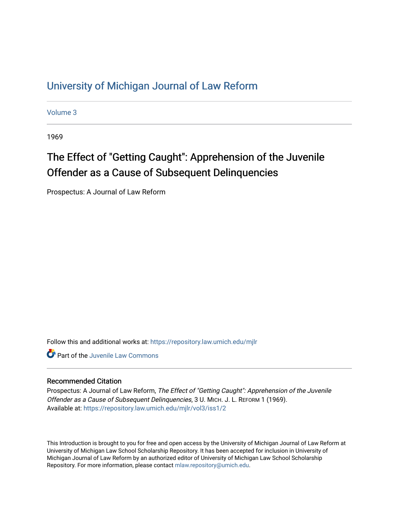## [University of Michigan Journal of Law Reform](https://repository.law.umich.edu/mjlr)

[Volume 3](https://repository.law.umich.edu/mjlr/vol3)

1969

# The Effect of "Getting Caught": Apprehension of the Juvenile Offender as a Cause of Subsequent Delinquencies

Prospectus: A Journal of Law Reform

Follow this and additional works at: [https://repository.law.umich.edu/mjlr](https://repository.law.umich.edu/mjlr?utm_source=repository.law.umich.edu%2Fmjlr%2Fvol3%2Fiss1%2F2&utm_medium=PDF&utm_campaign=PDFCoverPages) 

**C** Part of the [Juvenile Law Commons](http://network.bepress.com/hgg/discipline/851?utm_source=repository.law.umich.edu%2Fmjlr%2Fvol3%2Fiss1%2F2&utm_medium=PDF&utm_campaign=PDFCoverPages)

#### Recommended Citation

Prospectus: A Journal of Law Reform, The Effect of "Getting Caught": Apprehension of the Juvenile Offender as a Cause of Subsequent Delinquencies, 3 U. MICH. J. L. REFORM 1 (1969). Available at: [https://repository.law.umich.edu/mjlr/vol3/iss1/2](https://repository.law.umich.edu/mjlr/vol3/iss1/2?utm_source=repository.law.umich.edu%2Fmjlr%2Fvol3%2Fiss1%2F2&utm_medium=PDF&utm_campaign=PDFCoverPages)

This Introduction is brought to you for free and open access by the University of Michigan Journal of Law Reform at University of Michigan Law School Scholarship Repository. It has been accepted for inclusion in University of Michigan Journal of Law Reform by an authorized editor of University of Michigan Law School Scholarship Repository. For more information, please contact [mlaw.repository@umich.edu](mailto:mlaw.repository@umich.edu).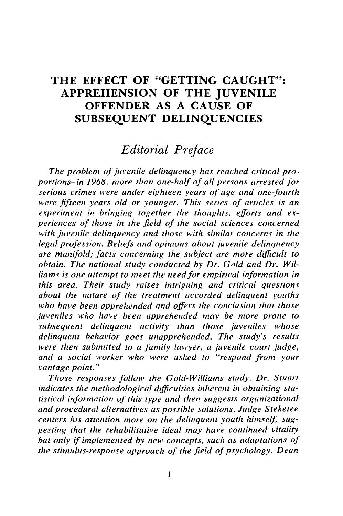### **THE EFFECT OF "GETTING CAUGHT": APPREHENSION OF THE JUVENILE OFFENDER AS A CAUSE OF SUBSEQUENT DELINQUENCIES**

### *Editorial Preface*

*The problem of juvenile delinquency has reached critical proportions-in 1968, more than one-half of all persons arrested for serious crimes were under eighteen years of age and one-fourth were fifteen years old or younger. This series of articles is an experiment in bringing together the thoughts, efforts and experiences of those in the field of the social sciences concerned with juvenile delinquency and those with similar concerns in the legal profession. Beliefs and opinions about juvenile delinquency are manifold; facts concerning the subject are more difficult to obtain. The national study conducted by Dr. Gold and Dr. Williams is one attempt to meet the need for empirical information in this area. Their study raises intriguing and critical questions about the nature of the treatment accorded delinquent youths who have been apprehended and offers the conclusion that those juveniles who have been apprehended may be more prone to subsequent delinquent activity than those juveniles whose delinquent behavior goes unapprehended. The study's results were then submitted to a family lawyer, a juvenile court judge, and a social worker who were asked to "respond from your vantage point."*

*Those responses follow the Gold-Williams study. Dr. Stuart indicates the methodological difficulties inherent in obtaining statistical information of this type and then suggests organizational and procedural alternatives as possible solutions. Judge Steketee* centers his attention more on the delinquent youth himself, sug*gesting that the rehabilitative ideal may have continued vitality but only if implemented by new concepts, such as adaptations of the stimulus-response approach of the-field of psychology. Dean*